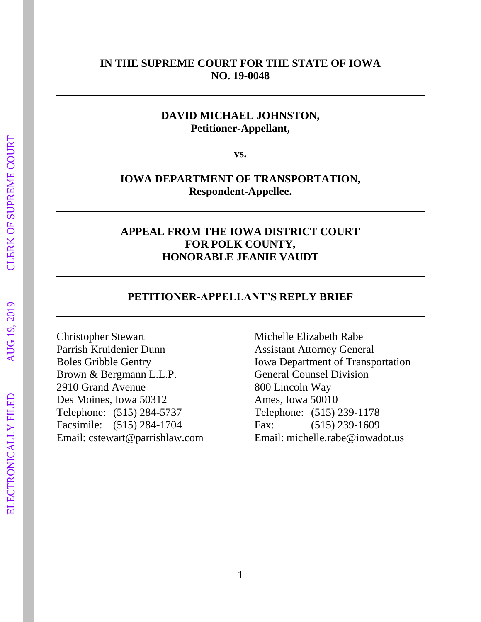#### **IN THE SUPREME COURT FOR THE STATE OF IOWA NO. 19-0048**

### **DAVID MICHAEL JOHNSTON, Petitioner-Appellant,**

**vs.**

## **IOWA DEPARTMENT OF TRANSPORTATION, Respondent-Appellee.**

#### **APPEAL FROM THE IOWA DISTRICT COURT FOR POLK COUNTY, HONORABLE JEANIE VAUDT**

#### **PETITIONER-APPELLANT'S REPLY BRIEF**

Christopher Stewart Parrish Kruidenier Dunn Boles Gribble Gentry Brown & Bergmann L.L.P. 2910 Grand Avenue Des Moines, Iowa 50312 Telephone: (515) 284-5737 Facsimile: (515) 284-1704 Email: cstewart@parrishlaw.com

Michelle Elizabeth Rabe Assistant Attorney General Iowa Department of Transportation General Counsel Division 800 Lincoln Way Ames, Iowa 50010 Telephone: (515) 239-1178 Fax: (515) 239-1609 Email: michelle.rabe@iowadot.us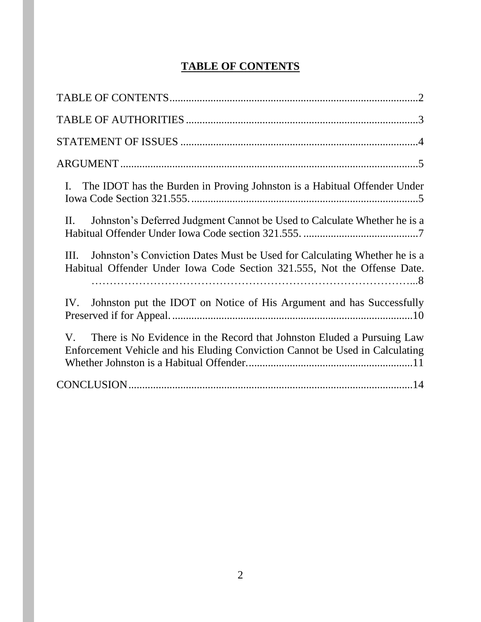# **TABLE OF CONTENTS**

| The IDOT has the Burden in Proving Johnston is a Habitual Offender Under<br>Ι.                                                                                        |
|-----------------------------------------------------------------------------------------------------------------------------------------------------------------------|
| $\mathbf{II}$ .<br>Johnston's Deferred Judgment Cannot be Used to Calculate Whether he is a                                                                           |
| Johnston's Conviction Dates Must be Used for Calculating Whether he is a<br>III.<br>Habitual Offender Under Iowa Code Section 321.555, Not the Offense Date.          |
| Johnston put the IDOT on Notice of His Argument and has Successfully<br>IV.                                                                                           |
| There is No Evidence in the Record that Johnston Eluded a Pursuing Law<br>$V_{\cdot}$<br>Enforcement Vehicle and his Eluding Conviction Cannot be Used in Calculating |
|                                                                                                                                                                       |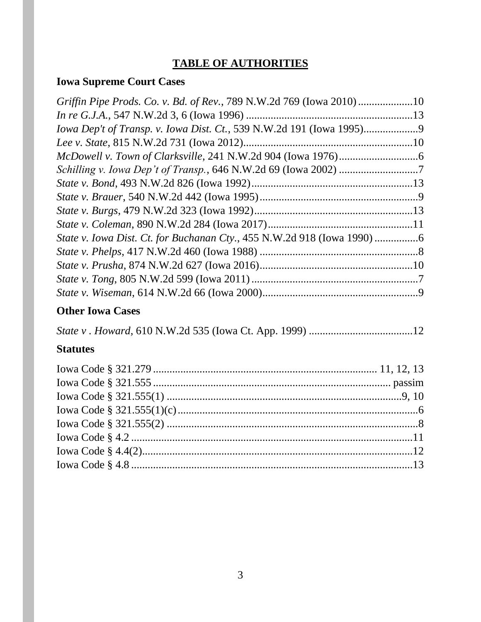# **TABLE OF AUTHORITIES**

# **Iowa Supreme Court Cases**

| Griffin Pipe Prods. Co. v. Bd. of Rev., 789 N.W.2d 769 (Iowa 2010)10 |  |
|----------------------------------------------------------------------|--|
|                                                                      |  |
| Iowa Dep't of Transp. v. Iowa Dist. Ct., 539 N.W.2d 191 (Iowa 1995)  |  |
|                                                                      |  |
|                                                                      |  |
|                                                                      |  |
|                                                                      |  |
|                                                                      |  |
|                                                                      |  |
|                                                                      |  |
|                                                                      |  |
|                                                                      |  |
|                                                                      |  |
|                                                                      |  |
|                                                                      |  |

# **Other Iowa Cases**

|--|--|--|--|

# **Statutes**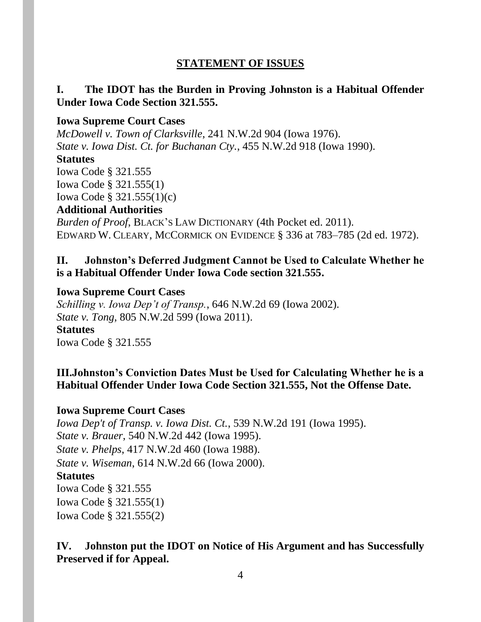### **STATEMENT OF ISSUES**

## **I. The IDOT has the Burden in Proving Johnston is a Habitual Offender Under Iowa Code Section 321.555.**

#### **Iowa Supreme Court Cases**

*McDowell v. Town of Clarksville*, 241 N.W.2d 904 (Iowa 1976). *State v. Iowa Dist. Ct. for Buchanan Cty.*, 455 N.W.2d 918 (Iowa 1990).

#### **Statutes**

Iowa Code § 321.555 Iowa Code § 321.555(1) Iowa Code § 321.555(1)(c)

#### **Additional Authorities**

*Burden of Proof*, BLACK'S LAW DICTIONARY (4th Pocket ed. 2011). EDWARD W. CLEARY, MCCORMICK ON EVIDENCE § 336 at 783–785 (2d ed. 1972).

### **II. Johnston's Deferred Judgment Cannot be Used to Calculate Whether he is a Habitual Offender Under Iowa Code section 321.555.**

#### **Iowa Supreme Court Cases**

*Schilling v. Iowa Dep't of Transp.*, 646 N.W.2d 69 (Iowa 2002). *State v. Tong*, 805 N.W.2d 599 (Iowa 2011).

**Statutes** Iowa Code § 321.555

### **III.Johnston's Conviction Dates Must be Used for Calculating Whether he is a Habitual Offender Under Iowa Code Section 321.555, Not the Offense Date.**

#### **Iowa Supreme Court Cases**

*Iowa Dep't of Transp. v. Iowa Dist. Ct.*, 539 N.W.2d 191 (Iowa 1995). *State v. Brauer*, 540 N.W.2d 442 (Iowa 1995). *State v. Phelps*, 417 N.W.2d 460 (Iowa 1988). *State v. Wiseman*, 614 N.W.2d 66 (Iowa 2000). **Statutes** Iowa Code § 321.555 Iowa Code § 321.555(1) Iowa Code § 321.555(2)

# **IV. Johnston put the IDOT on Notice of His Argument and has Successfully Preserved if for Appeal.**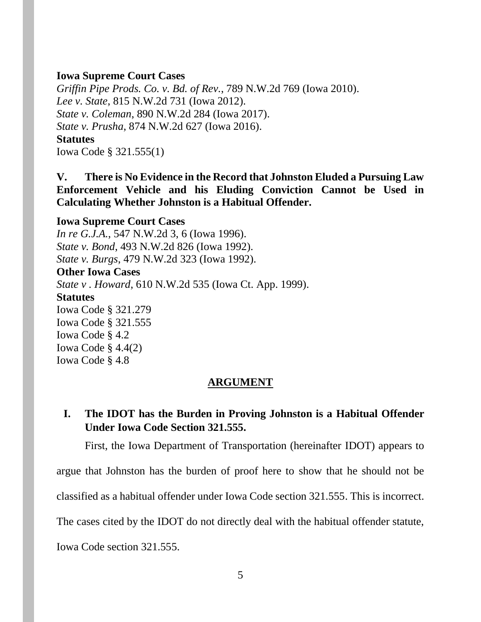#### **Iowa Supreme Court Cases**

*Griffin Pipe Prods. Co. v. Bd. of Rev.*, 789 N.W.2d 769 (Iowa 2010). *Lee v. State*, 815 N.W.2d 731 (Iowa 2012). *State v. Coleman*, 890 N.W.2d 284 (Iowa 2017). *State v. Prusha*, 874 N.W.2d 627 (Iowa 2016). **Statutes** Iowa Code § 321.555(1)

**V. There is No Evidence in the Record that Johnston Eluded a Pursuing Law Enforcement Vehicle and his Eluding Conviction Cannot be Used in Calculating Whether Johnston is a Habitual Offender.**

**Iowa Supreme Court Cases** *In re G.J.A.*, 547 N.W.2d 3, 6 (Iowa 1996). *State v. Bond*, 493 N.W.2d 826 (Iowa 1992). *State v. Burgs*, 479 N.W.2d 323 (Iowa 1992). **Other Iowa Cases** *State v . Howard*, 610 N.W.2d 535 (Iowa Ct. App. 1999). **Statutes** Iowa Code § 321.279 Iowa Code § 321.555 Iowa Code § 4.2 Iowa Code § 4.4(2) Iowa Code § 4.8

#### **ARGUMENT**

### **I. The IDOT has the Burden in Proving Johnston is a Habitual Offender Under Iowa Code Section 321.555.**

First, the Iowa Department of Transportation (hereinafter IDOT) appears to

argue that Johnston has the burden of proof here to show that he should not be

classified as a habitual offender under Iowa Code section 321.555. This is incorrect.

The cases cited by the IDOT do not directly deal with the habitual offender statute,

Iowa Code section 321.555.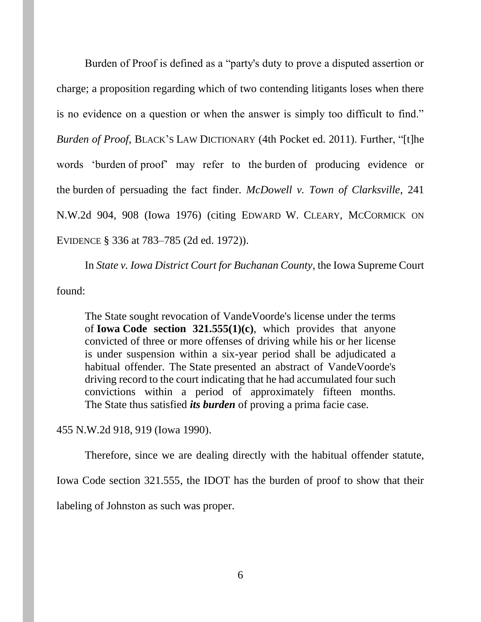Burden of Proof is defined as a "party's duty to prove a disputed assertion or charge; a proposition regarding which of two contending litigants loses when there is no evidence on a question or when the answer is simply too difficult to find." *Burden of Proof*, BLACK'S LAW DICTIONARY (4th Pocket ed. 2011). Further, "[t]he words 'burden of proof' may refer to the burden of producing evidence or the burden of persuading the fact finder. *McDowell v. Town of Clarksville*, 241 N.W.2d 904, 908 (Iowa 1976) (citing EDWARD W. CLEARY, MCCORMICK ON EVIDENCE § 336 at 783–785 (2d ed. 1972)).

In *State v. Iowa District Court for Buchanan County*, the Iowa Supreme Court found:

The State sought revocation of VandeVoorde's license under the terms of **Iowa [Code section 321.555\(1\)\(c\)](https://1.next.westlaw.com/Link/Document/FullText?findType=L&pubNum=1000256&cite=IASTS321.555&originatingDoc=I4fc34f87ff6511d98ac8f235252e36df&refType=LQ&originationContext=document&transitionType=DocumentItem&contextData=(sc.Search))**, which provides that anyone convicted of three or more offenses of driving while his or her license is under suspension within a six-year period shall be adjudicated a habitual offender. The State presented an abstract of VandeVoorde's driving record to the court indicating that he had accumulated four such convictions within a period of approximately fifteen months. The State thus satisfied *its burden* of proving a prima facie case.

455 N.W.2d 918, 919 (Iowa 1990).

Therefore, since we are dealing directly with the habitual offender statute,

Iowa Code section 321.555, the IDOT has the burden of proof to show that their

labeling of Johnston as such was proper.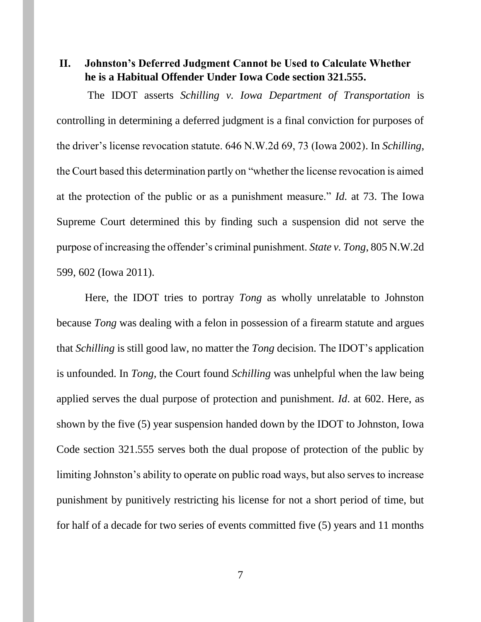## **II. Johnston's Deferred Judgment Cannot be Used to Calculate Whether he is a Habitual Offender Under Iowa Code section 321.555.**

The IDOT asserts *Schilling v. Iowa Department of Transportation* is controlling in determining a deferred judgment is a final conviction for purposes of the driver's license revocation statute. 646 N.W.2d 69, 73 (Iowa 2002). In *Schilling*, the Court based this determination partly on "whether the license revocation is aimed at the protection of the public or as a punishment measure." *Id.* at 73. The Iowa Supreme Court determined this by finding such a suspension did not serve the purpose of increasing the offender's criminal punishment. *State v. Tong*, 805 N.W.2d 599, 602 (Iowa 2011).

Here, the IDOT tries to portray *Tong* as wholly unrelatable to Johnston because *Tong* was dealing with a felon in possession of a firearm statute and argues that *Schilling* is still good law, no matter the *Tong* decision. The IDOT's application is unfounded. In *Tong,* the Court found *Schilling* was unhelpful when the law being applied serves the dual purpose of protection and punishment. *Id*. at 602. Here, as shown by the five (5) year suspension handed down by the IDOT to Johnston, Iowa Code section 321.555 serves both the dual propose of protection of the public by limiting Johnston's ability to operate on public road ways, but also serves to increase punishment by punitively restricting his license for not a short period of time, but for half of a decade for two series of events committed five (5) years and 11 months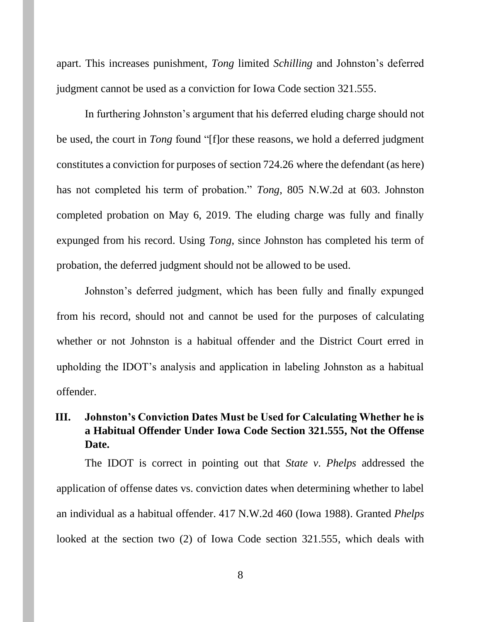apart. This increases punishment, *Tong* limited *Schilling* and Johnston's deferred judgment cannot be used as a conviction for Iowa Code section 321.555.

In furthering Johnston's argument that his deferred eluding charge should not be used, the court in *Tong* found "[f]or these reasons, we hold a deferred judgment constitutes a conviction for purposes of section 724.26 where the defendant (as here) has not completed his term of probation." *Tong*, 805 N.W.2d at 603. Johnston completed probation on May 6, 2019. The eluding charge was fully and finally expunged from his record. Using *Tong*, since Johnston has completed his term of probation, the deferred judgment should not be allowed to be used.

Johnston's deferred judgment, which has been fully and finally expunged from his record, should not and cannot be used for the purposes of calculating whether or not Johnston is a habitual offender and the District Court erred in upholding the IDOT's analysis and application in labeling Johnston as a habitual offender.

# **III. Johnston's Conviction Dates Must be Used for Calculating Whether he is a Habitual Offender Under Iowa Code Section 321.555, Not the Offense Date.**

The IDOT is correct in pointing out that *State v*. *Phelps* addressed the application of offense dates vs. conviction dates when determining whether to label an individual as a habitual offender. 417 N.W.2d 460 (Iowa 1988). Granted *Phelps* looked at the section two (2) of Iowa Code section 321.555, which deals with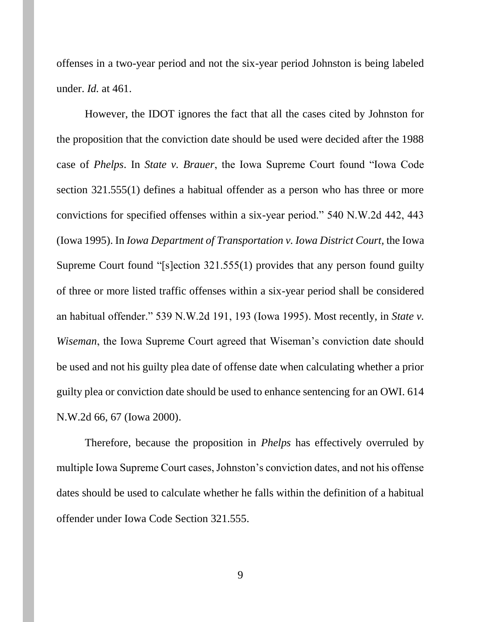offenses in a two-year period and not the six-year period Johnston is being labeled under. *Id.* at 461.

However, the IDOT ignores the fact that all the cases cited by Johnston for the proposition that the conviction date should be used were decided after the 1988 case of *Phelps*. In *State v. Brauer*, the Iowa Supreme Court found "Iowa Code section 321.555(1) defines a habitual offender as a person who has three or more convictions for specified offenses within a six-year period." 540 N.W.2d 442, 443 (Iowa 1995). In *Iowa Department of Transportation v. Iowa District Court,* the Iowa Supreme Court found "[s]ection 321.555(1) provides that any person found guilty of three or more listed traffic offenses within a six-year period shall be considered an habitual offender." 539 N.W.2d 191, 193 (Iowa 1995). Most recently, in *State v. Wiseman*, the Iowa Supreme Court agreed that Wiseman's conviction date should be used and not his guilty plea date of offense date when calculating whether a prior guilty plea or conviction date should be used to enhance sentencing for an OWI. 614 N.W.2d 66, 67 (Iowa 2000).

Therefore, because the proposition in *Phelps* has effectively overruled by multiple Iowa Supreme Court cases, Johnston's conviction dates, and not his offense dates should be used to calculate whether he falls within the definition of a habitual offender under Iowa Code Section 321.555.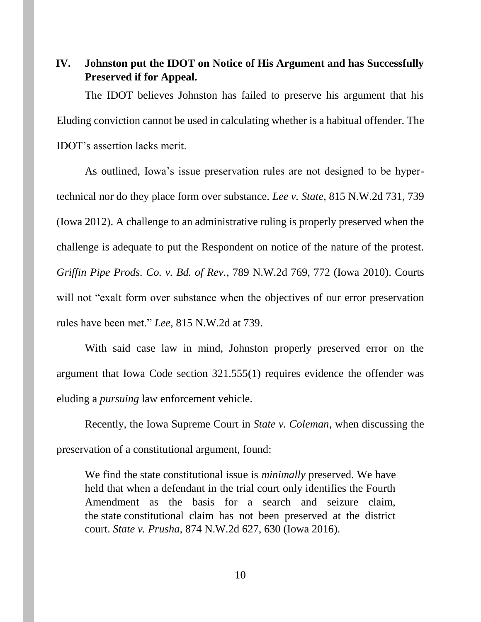**IV. Johnston put the IDOT on Notice of His Argument and has Successfully Preserved if for Appeal.** 

The IDOT believes Johnston has failed to preserve his argument that his Eluding conviction cannot be used in calculating whether is a habitual offender. The IDOT's assertion lacks merit.

As outlined, Iowa's issue preservation rules are not designed to be hypertechnical nor do they place form over substance. *Lee v. State*, 815 N.W.2d 731, 739 (Iowa 2012). A challenge to an administrative ruling is properly preserved when the challenge is adequate to put the Respondent on notice of the nature of the protest. *Griffin Pipe Prods. Co. v. Bd. of Rev.*, 789 N.W.2d 769, 772 (Iowa 2010). Courts will not "exalt form over substance when the objectives of our error preservation rules have been met." *Lee,* 815 N.W.2d at 739.

With said case law in mind, Johnston properly preserved error on the argument that Iowa Code section 321.555(1) requires evidence the offender was eluding a *pursuing* law enforcement vehicle.

Recently, the Iowa Supreme Court in *State v. Coleman*, when discussing the preservation of a constitutional argument, found:

We find the state constitutional issue is *minimally* preserved. We have held that when a defendant in the trial court only identifies the Fourth Amendment as the basis for a search and seizure claim, the state constitutional claim has not been preserved at the district court. *State v. Prusha*, 874 N.W.2d [627, 630 \(Iowa](https://1.next.westlaw.com/Link/Document/FullText?findType=Y&serNum=2038282850&pubNum=0000595&originatingDoc=I82968c40eff111e681b2a67ea2e2f62b&refType=RP&fi=co_pp_sp_595_630&originationContext=document&transitionType=DocumentItem&contextData=(sc.Search)#co_pp_sp_595_630) 2016).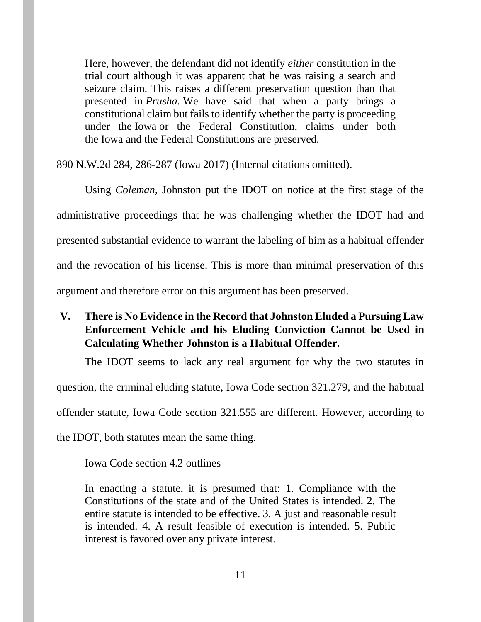Here, however, the defendant did not identify *either* constitution in the trial court although it was apparent that he was raising a search and seizure claim. This raises a different preservation question than that presented in *[Prusha.](https://1.next.westlaw.com/Link/Document/FullText?findType=Y&serNum=2038282850&pubNum=0000595&originatingDoc=I82968c40eff111e681b2a67ea2e2f62b&refType=RP&originationContext=document&transitionType=DocumentItem&contextData=(sc.Search))* We have said that when a party brings a constitutional claim but fails to identify whether the party is proceeding under the Iowa or the Federal Constitution, claims under both the Iowa and the Federal Constitutions are preserved.

890 N.W.2d 284, 286-287 (Iowa 2017) (Internal citations omitted).

Using *Coleman*, Johnston put the IDOT on notice at the first stage of the administrative proceedings that he was challenging whether the IDOT had and presented substantial evidence to warrant the labeling of him as a habitual offender and the revocation of his license. This is more than minimal preservation of this argument and therefore error on this argument has been preserved.

**V. There is No Evidence in the Record that Johnston Eluded a Pursuing Law Enforcement Vehicle and his Eluding Conviction Cannot be Used in Calculating Whether Johnston is a Habitual Offender.**

The IDOT seems to lack any real argument for why the two statutes in question, the criminal eluding statute, Iowa Code section 321.279, and the habitual offender statute, Iowa Code section 321.555 are different. However, according to the IDOT, both statutes mean the same thing.

Iowa Code section 4.2 outlines

In enacting a statute, it is presumed that: 1. Compliance with the Constitutions of the state and of the United States is intended. 2. The entire statute is intended to be effective. 3. A just and reasonable result is intended. 4. A result feasible of execution is intended. 5. Public interest is favored over any private interest.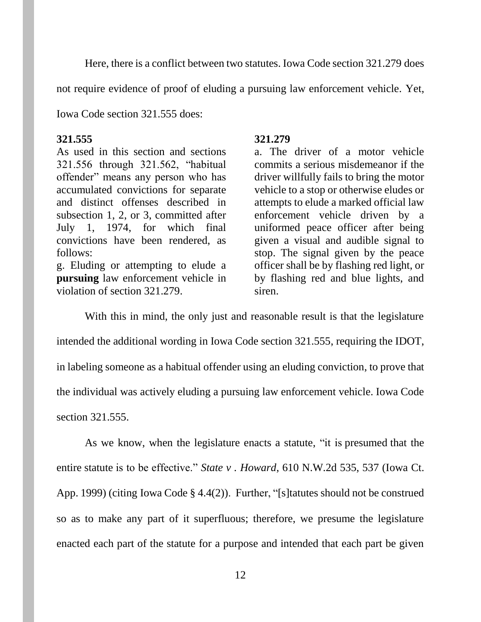Here, there is a conflict between two statutes. Iowa Code section 321.279 does

not require evidence of proof of eluding a pursuing law enforcement vehicle. Yet,

Iowa Code section 321.555 does:

#### **321.555**

As used in this section and sections 321.556 through 321.562, "habitual offender" means any person who has accumulated convictions for separate and distinct offenses described in subsection 1, 2, or 3, committed after July 1, 1974, for which final convictions have been rendered, as follows:

g. Eluding or attempting to elude a **pursuing** law enforcement vehicle in violation of section 321.279.

#### **321.279**

a. The driver of a motor vehicle commits a serious misdemeanor if the driver willfully fails to bring the motor vehicle to a stop or otherwise eludes or attempts to elude a marked official law enforcement vehicle driven by a uniformed peace officer after being given a visual and audible signal to stop. The signal given by the peace officer shall be by flashing red light, or by flashing red and blue lights, and siren.

With this in mind, the only just and reasonable result is that the legislature intended the additional wording in Iowa Code section 321.555, requiring the IDOT, in labeling someone as a habitual offender using an eluding conviction, to prove that the individual was actively eluding a pursuing law enforcement vehicle. Iowa Code section 321.555.

As we know, when the legislature enacts a statute, "it is presumed that the entire statute is to be effective." *State v . Howard*, 610 N.W.2d 535, 537 (Iowa Ct. App. 1999) (citing Iowa Code § 4.4(2)). Further, "[s]tatutes should not be construed so as to make any part of it superfluous; therefore, we presume the legislature enacted each part of the statute for a purpose and intended that each part be given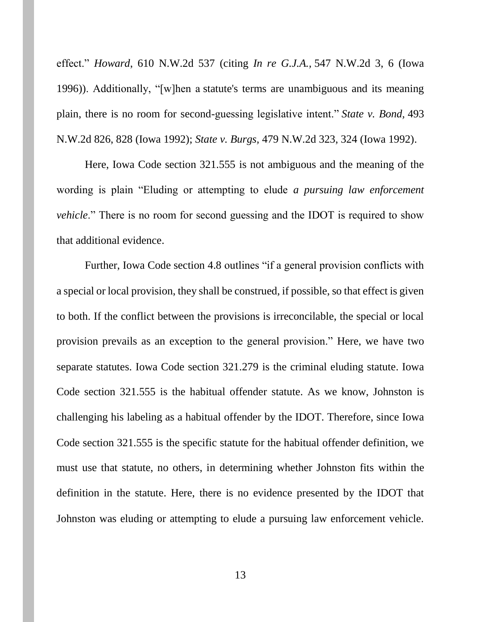effect." *Howard*, 610 N.W.2d 537 (citing *In re G.J.A.,* 547 N.W.2d 3, 6 (Iowa 1996)). Additionally, "[w]hen a statute's terms are unambiguous and its meaning plain, there is no room for second-guessing legislative intent." *State v. Bond,* 493 N.W.2d 826, 828 (Iowa 1992); *State v. Burgs,* 479 N.W.2d 323, 324 (Iowa 1992).

Here, Iowa Code section 321.555 is not ambiguous and the meaning of the wording is plain "Eluding or attempting to elude *a pursuing law enforcement vehicle*." There is no room for second guessing and the IDOT is required to show that additional evidence.

Further, Iowa Code section 4.8 outlines "if a general provision conflicts with a special or local provision, they shall be construed, if possible, so that effect is given to both. If the conflict between the provisions is irreconcilable, the special or local provision prevails as an exception to the general provision." Here, we have two separate statutes. Iowa Code section 321.279 is the criminal eluding statute. Iowa Code section 321.555 is the habitual offender statute. As we know, Johnston is challenging his labeling as a habitual offender by the IDOT. Therefore, since Iowa Code section 321.555 is the specific statute for the habitual offender definition, we must use that statute, no others, in determining whether Johnston fits within the definition in the statute. Here, there is no evidence presented by the IDOT that Johnston was eluding or attempting to elude a pursuing law enforcement vehicle.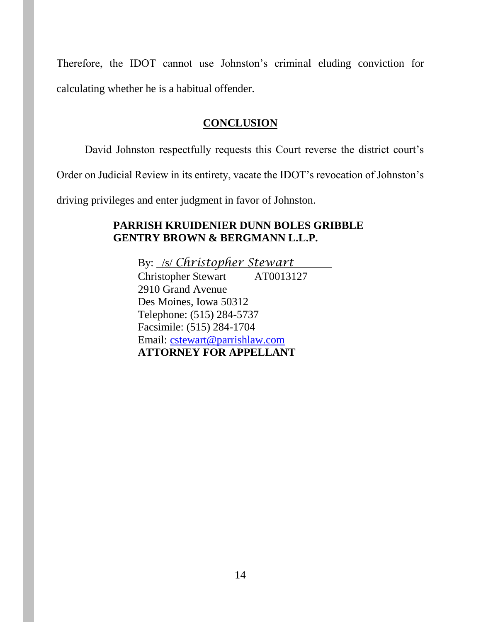Therefore, the IDOT cannot use Johnston's criminal eluding conviction for calculating whether he is a habitual offender.

## **CONCLUSION**

David Johnston respectfully requests this Court reverse the district court's

Order on Judicial Review in its entirety, vacate the IDOT's revocation of Johnston's

driving privileges and enter judgment in favor of Johnston.

## **PARRISH KRUIDENIER DUNN BOLES GRIBBLE GENTRY BROWN & BERGMANN L.L.P.**

By: /s/ *Christopher Stewart* Christopher Stewart AT0013127 2910 Grand Avenue Des Moines, Iowa 50312 Telephone: (515) 284-5737 Facsimile: (515) 284-1704 Email: [cstewart@parrishlaw.com](mailto:cstewart@parrishlaw.com) **ATTORNEY FOR APPELLANT**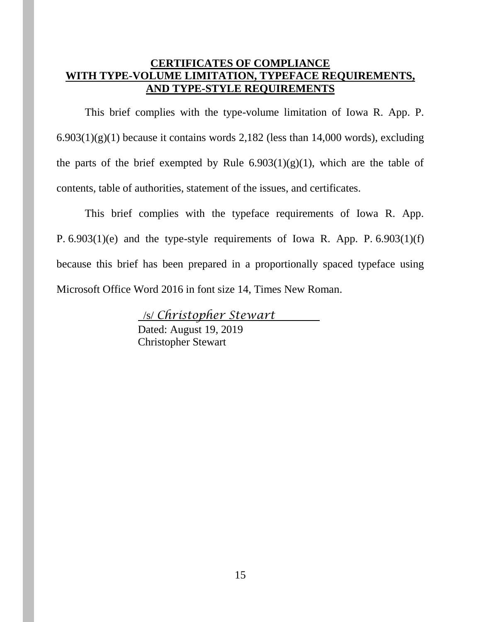#### **CERTIFICATES OF COMPLIANCE WITH TYPE-VOLUME LIMITATION, TYPEFACE REQUIREMENTS, AND TYPE-STYLE REQUIREMENTS**

This brief complies with the type-volume limitation of Iowa R. App. P.  $6.903(1)(g)(1)$  because it contains words 2,182 (less than 14,000 words), excluding the parts of the brief exempted by Rule  $6.903(1)(g)(1)$ , which are the table of contents, table of authorities, statement of the issues, and certificates.

This brief complies with the typeface requirements of Iowa R. App. P. 6.903(1)(e) and the type-style requirements of Iowa R. App. P. 6.903(1)(f) because this brief has been prepared in a proportionally spaced typeface using Microsoft Office Word 2016 in font size 14, Times New Roman.

> /s/ *Christopher Stewart*  Dated: August 19, 2019 Christopher Stewart